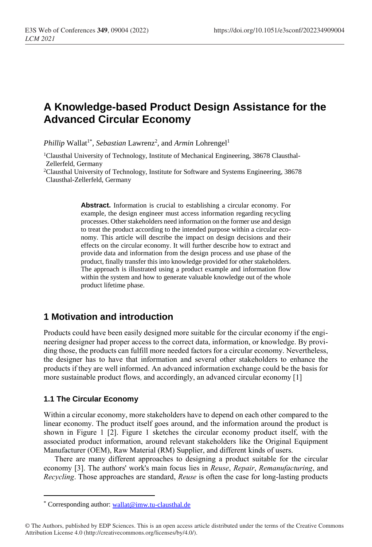# **A Knowledge-based Product Design Assistance for the Advanced Circular Economy**

Phillip Wallat<sup>1\*</sup>, Sebastian Lawrenz<sup>2</sup>, and Armin Lohrengel<sup>1</sup>

1Clausthal University of Technology, Institute of Mechanical Engineering, 38678 Clausthal-Zellerfeld, Germany

<sup>2</sup>Clausthal University of Technology, Institute for Software and Systems Engineering, 38678 Clausthal-Zellerfeld, Germany

> **Abstract.** Information is crucial to establishing a circular economy. For example, the design engineer must access information regarding recycling processes. Other stakeholders need information on the former use and design to treat the product according to the intended purpose within a circular economy. This article will describe the impact on design decisions and their effects on the circular economy. It will further describe how to extract and provide data and information from the design process and use phase of the product, finally transfer this into knowledge provided for other stakeholders. The approach is illustrated using a product example and information flow within the system and how to generate valuable knowledge out of the whole product lifetime phase.

### **1 Motivation and introduction**

Products could have been easily designed more suitable for the circular economy if the engineering designer had proper access to the correct data, information, or knowledge. By providing those, the products can fulfill more needed factors for a circular economy. Nevertheless, the designer has to have that information and several other stakeholders to enhance the products if they are well informed. An advanced information exchange could be the basis for more sustainable product flows, and accordingly, an advanced circular economy [1]

#### **1.1 The Circular Economy**

 $\overline{a}$ 

Within a circular economy, more stakeholders have to depend on each other compared to the linear economy. The product itself goes around, and the information around the product is shown in Figure 1 [2]. Figure 1 sketches the circular economy product itself, with the associated product information, around relevant stakeholders like the Original Equipment Manufacturer (OEM), Raw Material (RM) Supplier, and different kinds of users.

There are many different approaches to designing a product suitable for the circular economy [3]. The authors' work's main focus lies in *Reuse*, *Repair*, *Remanufacturing*, and *Recycling*. Those approaches are standard, *Reuse* is often the case for long-lasting products

<sup>\*</sup> Corresponding author: [wallat@imw.tu-clausthal.de](mailto:wallat@imw.tu-clausthal.de)

<sup>©</sup> The Authors, published by EDP Sciences. This is an open access article distributed under the terms of the Creative Commons Attribution License 4.0 (http://creativecommons.org/licenses/by/4.0/).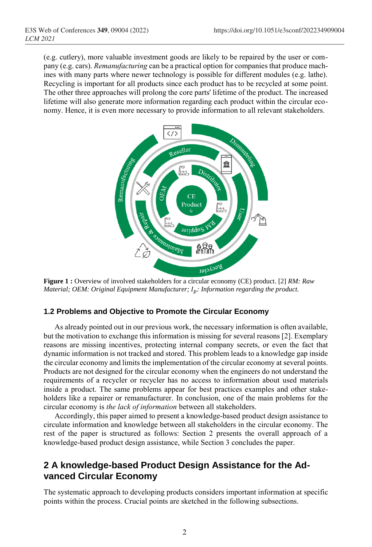(e.g. cutlery), more valuable investment goods are likely to be repaired by the user or company (e.g. cars). *Remanufacturing* can be a practical option for companies that produce machines with many parts where newer technology is possible for different modules (e.g. lathe). Recycling is important for all products since each product has to be recycled at some point. The other three approaches will prolong the core parts' lifetime of the product. The increased lifetime will also generate more information regarding each product within the circular economy. Hence, it is even more necessary to provide information to all relevant stakeholders.



**Figure 1 :** Overview of involved stakeholders for a circular economy (CE) product. [2] *RM: Raw Material; OEM: Original Equipment Manufacturer; : Information regarding the product.*

#### **1.2 Problems and Objective to Promote the Circular Economy**

As already pointed out in our previous work, the necessary information is often available, but the motivation to exchange this information is missing for several reasons [2]. Exemplary reasons are missing incentives, protecting internal company secrets, or even the fact that dynamic information is not tracked and stored. This problem leads to a knowledge gap inside the circular economy and limits the implementation of the circular economy at several points. Products are not designed for the circular economy when the engineers do not understand the requirements of a recycler or recycler has no access to information about used materials inside a product. The same problems appear for best practices examples and other stakeholders like a repairer or remanufacturer. In conclusion, one of the main problems for the circular economy is *the lack of information* between all stakeholders.

Accordingly, this paper aimed to present a knowledge-based product design assistance to circulate information and knowledge between all stakeholders in the circular economy. The rest of the paper is structured as follows: Section 2 presents the overall approach of a knowledge-based product design assistance, while Section 3 concludes the paper.

## **2 A knowledge-based Product Design Assistance for the Advanced Circular Economy**

The systematic approach to developing products considers important information at specific points within the process. Crucial points are sketched in the following subsections.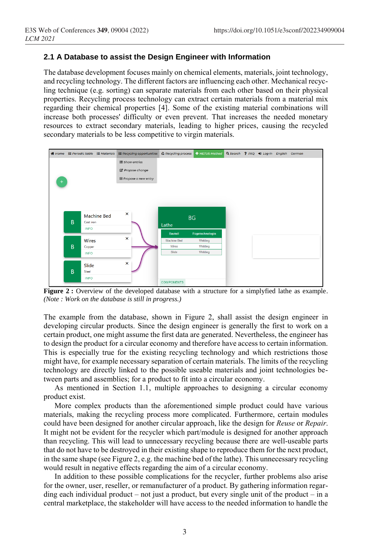#### **2.1 A Database to assist the Design Engineer with Information**

The database development focuses mainly on chemical elements, materials, joint technology, and recycling technology. The different factors are influencing each other. Mechanical recycling technique (e.g. sorting) can separate materials from each other based on their physical properties. Recycling process technology can extract certain materials from a material mix regarding their chemical properties [4]. Some of the existing material combinations will increase both processes' difficulty or even prevent. That increases the needed monetary resources to extract secondary materials, leading to higher prices, causing the recycled secondary materials to be less competitive to virgin materials.



**Figure 2 :** Overview of the developed database with a structure for a simplyfied lathe as example. *(Note : Work on the database is still in progress.)*

The example from the database, shown in Figure 2, shall assist the design engineer in developing circular products. Since the design engineer is generally the first to work on a certain product, one might assume the first data are generated. Nevertheless, the engineer has to design the product for a circular economy and therefore have access to certain information. This is especially true for the existing recycling technology and which restrictions those might have, for example necessary separation of certain materials. The limits of the recycling technology are directly linked to the possible useable materials and joint technologies between parts and assemblies; for a product to fit into a circular economy.

As mentioned in Section 1.1, multiple approaches to designing a circular economy product exist.

More complex products than the aforementioned simple product could have various materials, making the recycling process more complicated. Furthermore, certain modules could have been designed for another circular approach, like the design for *Reuse* or *Repair*. It might not be evident for the recycler which part/module is designed for another approach than recycling. This will lead to unnecessary recycling because there are well-useable parts that do not have to be destroyed in their existing shape to reproduce them for the next product, in the same shape (see Figure 2, e.g. the machine bed of the lathe). This unnecessary recycling would result in negative effects regarding the aim of a circular economy.

In addition to these possible complications for the recycler, further problems also arise for the owner, user, reseller, or remanufacturer of a product. By gathering information regarding each individual product – not just a product, but every single unit of the product – in a central marketplace, the stakeholder will have access to the needed information to handle the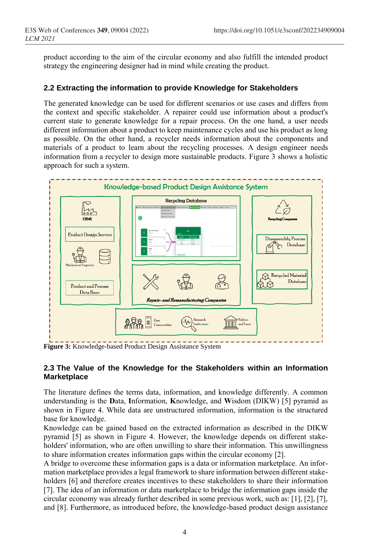product according to the aim of the circular economy and also fulfill the intended product strategy the engineering designer had in mind while creating the product.

#### **2.2 Extracting the information to provide Knowledge for Stakeholders**

The generated knowledge can be used for different scenarios or use cases and differs from the context and specific stakeholder. A repairer could use information about a product's current state to generate knowledge for a repair process. On the one hand, a user needs different information about a product to keep maintenance cycles and use his product as long as possible. On the other hand, a recycler needs information about the components and materials of a product to learn about the recycling processes. A design engineer needs information from a recycler to design more sustainable products. Figure 3 shows a holistic approach for such a system.



**Figure 3:** Knowledge-based Product Design Assistance System

#### **2.3 The Value of the Knowledge for the Stakeholders within an Information Marketplace**

The literature defines the terms data, information, and knowledge differently. A common understanding is the **D**ata, **I**nformation, **K**nowledge, and **W**isdom (DIKW) [5] pyramid as shown in Figure 4. While data are unstructured information, information is the structured base for knowledge.

Knowledge can be gained based on the extracted information as described in the DIKW pyramid [5] as shown in Figure 4. However, the knowledge depends on different stakeholders' information, who are often unwilling to share their information. This unwillingness to share information creates information gaps within the circular economy [2].

A bridge to overcome these information gaps is a data or information marketplace. An information marketplace provides a legal framework to share information between different stakeholders [6] and therefore creates incentives to these stakeholders to share their information [7]. The idea of an information or data marketplace to bridge the information gaps inside the circular economy was already further described in some previous work, such as: [1], [2], [7], and [8]. Furthermore, as introduced before, the knowledge-based product design assistance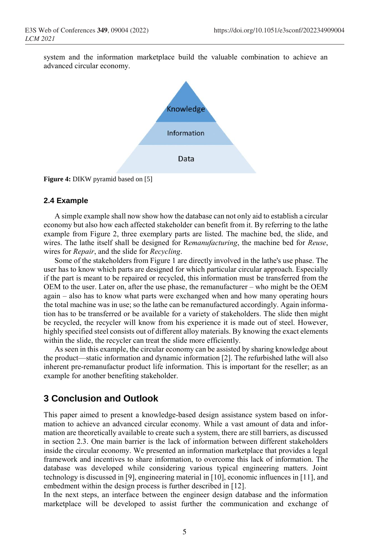system and the information marketplace build the valuable combination to achieve an advanced circular economy.



**Figure 4:** DIKW pyramid based on [5]

#### **2.4 Example**

A simple example shall now show how the database can not only aid to establish a circular economy but also how each affected stakeholder can benefit from it. By referring to the lathe example from Figure 2, three exemplary parts are listed. The machine bed, the slide, and wires. The lathe itself shall be designed for R*emanufacturing*, the machine bed for *Reuse*, wires for *Repair*, and the slide for *Recycling*.

Some of the stakeholders from Figure 1 are directly involved in the lathe's use phase. The user has to know which parts are designed for which particular circular approach. Especially if the part is meant to be repaired or recycled, this information must be transferred from the OEM to the user. Later on, after the use phase, the remanufacturer – who might be the OEM again – also has to know what parts were exchanged when and how many operating hours the total machine was in use; so the lathe can be remanufactured accordingly. Again information has to be transferred or be available for a variety of stakeholders. The slide then might be recycled, the recycler will know from his experience it is made out of steel. However, highly specified steel consists out of different alloy materials. By knowing the exact elements within the slide, the recycler can treat the slide more efficiently.

As seen in this example, the circular economy can be assisted by sharing knowledge about the product—static information and dynamic information [2]. The refurbished lathe will also inherent pre-remanufactur product life information. This is important for the reseller; as an example for another benefiting stakeholder.

## **3 Conclusion and Outlook**

This paper aimed to present a knowledge-based design assistance system based on information to achieve an advanced circular economy. While a vast amount of data and information are theoretically available to create such a system, there are still barriers, as discussed in section 2.3. One main barrier is the lack of information between different stakeholders inside the circular economy. We presented an information marketplace that provides a legal framework and incentives to share information, to overcome this lack of information. The database was developed while considering various typical engineering matters. Joint technology is discussed in [9], engineering material in [10], economic influences in [11], and embedment within the design process is further described in [12].

In the next steps, an interface between the engineer design database and the information marketplace will be developed to assist further the communication and exchange of